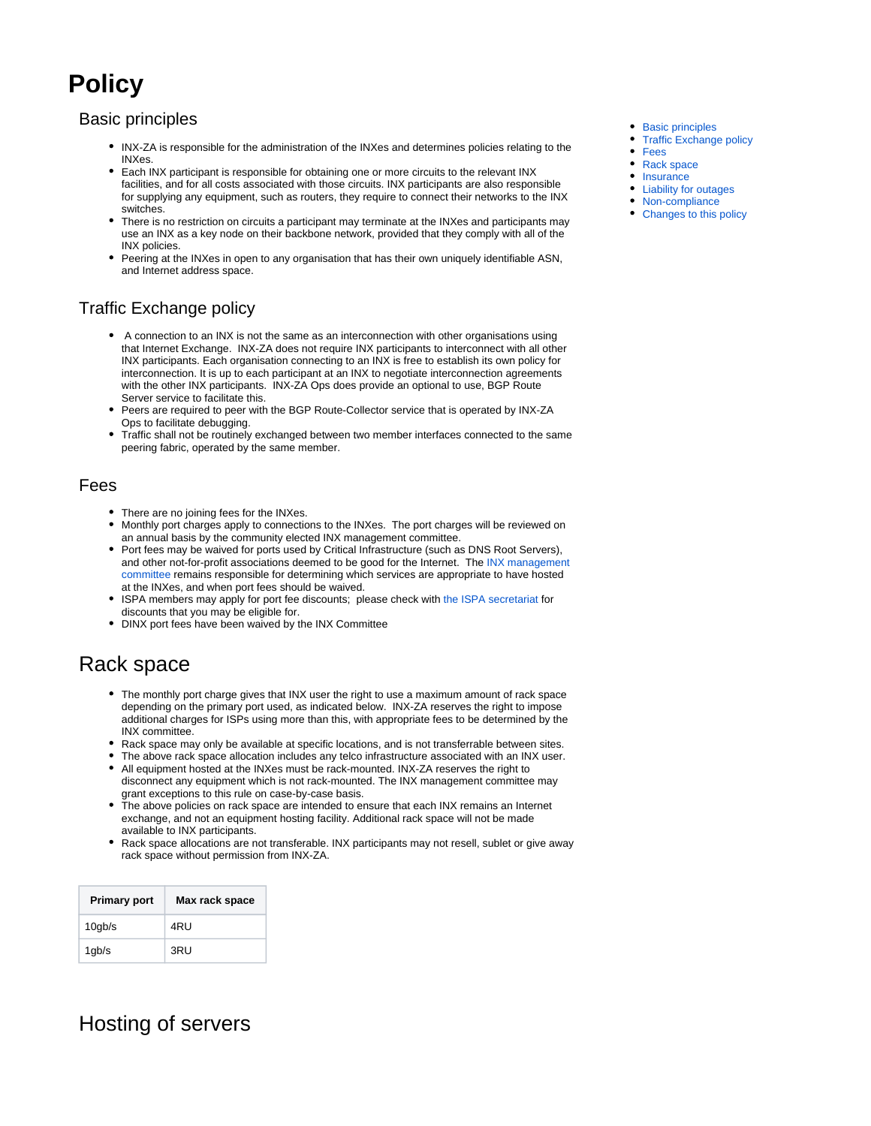# **Policy**

### <span id="page-0-0"></span>Basic principles

- INX-ZA is responsible for the administration of the INXes and determines policies relating to the INXes.
- Each INX participant is responsible for obtaining one or more circuits to the relevant INX facilities, and for all costs associated with those circuits. INX participants are also responsible for supplying any equipment, such as routers, they require to connect their networks to the INX switches.
- There is no restriction on circuits a participant may terminate at the INXes and participants may use an INX as a key node on their backbone network, provided that they comply with all of the INX policies.
- Peering at the INXes in open to any organisation that has their own uniquely identifiable ASN, and Internet address space.

### <span id="page-0-1"></span>Traffic Exchange policy

- A connection to an INX is not the same as an interconnection with other organisations using that Internet Exchange. INX-ZA does not require INX participants to interconnect with all other INX participants. Each organisation connecting to an INX is free to establish its own policy for interconnection. It is up to each participant at an INX to negotiate interconnection agreements with the other INX participants. INX-ZA Ops does provide an optional to use, BGP Route Server service to facilitate this.
- Peers are required to peer with the BGP Route-Collector service that is operated by INX-ZA Ops to facilitate debugging.
- Traffic shall not be routinely exchanged between two member interfaces connected to the same peering fabric, operated by the same member.

### <span id="page-0-2"></span>Fees

- There are no joining fees for the INXes.
- Monthly port charges apply to connections to the INXes. The port charges will be reviewed on an annual basis by the community elected INX management committee.
- Port fees may be waived for ports used by Critical Infrastructure (such as DNS Root Servers), and other not-for-profit associations deemed to be good for the Internet. The [INX management](https://www.inx.net.za/display/pub/INX+Committee)  [committee](https://www.inx.net.za/display/pub/INX+Committee) remains responsible for determining which services are appropriate to have hosted at the INXes, and when port fees should be waived.
- ISPA members may apply for port fee discounts; please check with [the ISPA secretariat](mailto:secretariat@ispa.org.za) for discounts that you may be eligible for.
- DINX port fees have been waived by the INX Committee

## <span id="page-0-3"></span>Rack space

- The monthly port charge gives that INX user the right to use a maximum amount of rack space depending on the primary port used, as indicated below. INX-ZA reserves the right to impose additional charges for ISPs using more than this, with appropriate fees to be determined by the INX committee.
- Rack space may only be available at specific locations, and is not transferrable between sites.
- The above rack space allocation includes any telco infrastructure associated with an INX user.
- All equipment hosted at the INXes must be rack-mounted. INX-ZA reserves the right to disconnect any equipment which is not rack-mounted. The INX management committee may grant exceptions to this rule on case-by-case basis.
- The above policies on rack space are intended to ensure that each INX remains an Internet exchange, and not an equipment hosting facility. Additional rack space will not be made available to INX participants.
- Rack space allocations are not transferable. INX participants may not resell, sublet or give away rack space without permission from INX-ZA.

| <b>Primary port</b> | Max rack space |
|---------------------|----------------|
| $10$ gb/s           | 4RU            |
| 1gb/s               | 3RU            |

## Hosting of servers

- [Basic principles](#page-0-0)
- [Traffic Exchange policy](#page-0-1)
- [Fees](#page-0-2)
- [Rack space](#page-0-3)
- [Insurance](#page-1-0)
- [Liability for outages](#page-1-1) • [Non-compliance](#page-1-2)
- [Changes to this policy](#page-1-3)